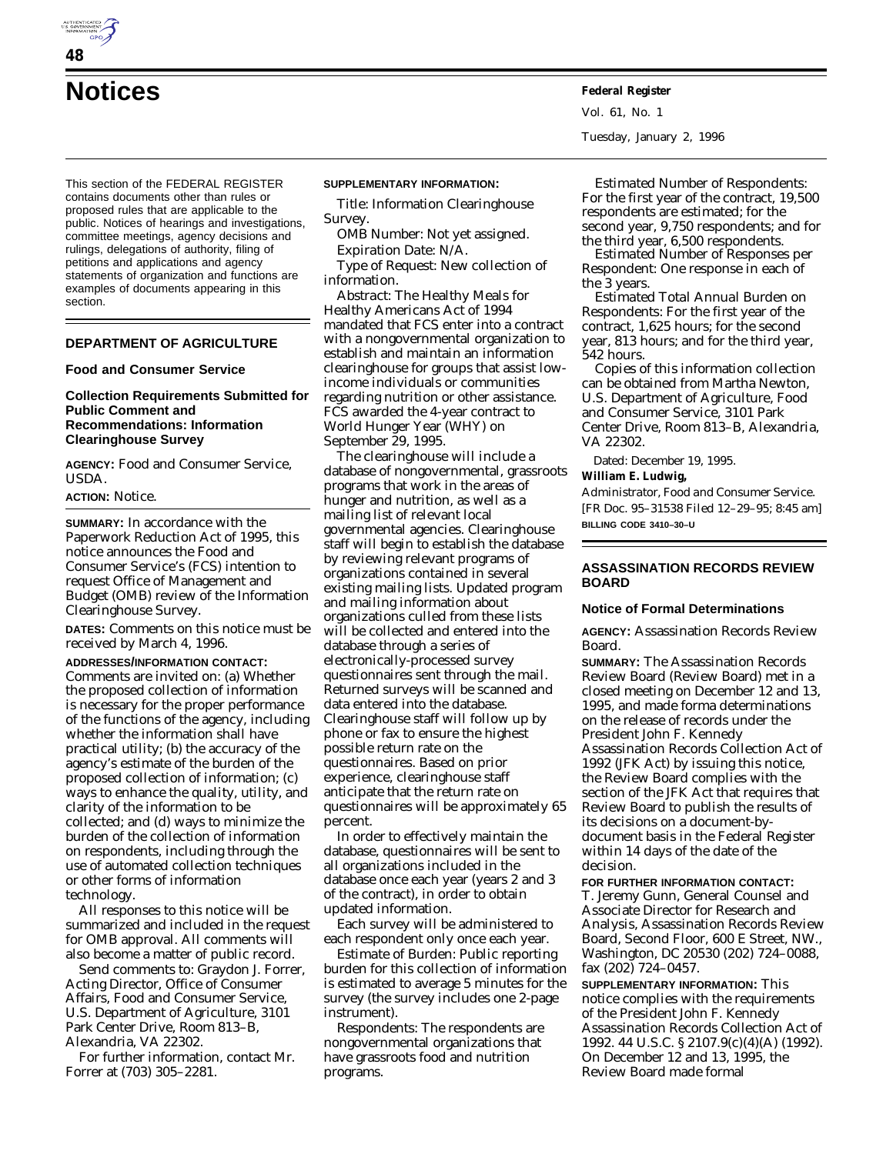**Notices Federal Register**

This section of the FEDERAL REGISTER contains documents other than rules or proposed rules that are applicable to the public. Notices of hearings and investigations, committee meetings, agency decisions and rulings, delegations of authority, filing of petitions and applications and agency statements of organization and functions are examples of documents appearing in this section.

# **DEPARTMENT OF AGRICULTURE**

#### **Food and Consumer Service**

## **Collection Requirements Submitted for Public Comment and Recommendations: Information Clearinghouse Survey**

**AGENCY:** Food and Consumer Service, USDA.

## **ACTION:** Notice.

**SUMMARY:** In accordance with the Paperwork Reduction Act of 1995, this notice announces the Food and Consumer Service's (FCS) intention to request Office of Management and Budget (OMB) review of the Information Clearinghouse Survey.

**DATES:** Comments on this notice must be received by March 4, 1996.

**ADDRESSES/INFORMATION CONTACT:** Comments are invited on: (a) Whether the proposed collection of information is necessary for the proper performance of the functions of the agency, including whether the information shall have practical utility; (b) the accuracy of the agency's estimate of the burden of the proposed collection of information; (c) ways to enhance the quality, utility, and clarity of the information to be collected; and (d) ways to minimize the burden of the collection of information on respondents, including through the use of automated collection techniques or other forms of information technology.

All responses to this notice will be summarized and included in the request for OMB approval. All comments will also become a matter of public record.

Send comments to: Graydon J. Forrer, Acting Director, Office of Consumer Affairs, Food and Consumer Service, U.S. Department of Agriculture, 3101 Park Center Drive, Room 813–B, Alexandria, VA 22302.

For further information, contact Mr. Forrer at (703) 305–2281.

#### **SUPPLEMENTARY INFORMATION:**

*Title:* Information Clearinghouse Survey.

*OMB Number:* Not yet assigned. *Expiration Date:* N/A.

*Type of Request:* New collection of information.

*Abstract:* The Healthy Meals for Healthy Americans Act of 1994 mandated that FCS enter into a contract with a nongovernmental organization to establish and maintain an information clearinghouse for groups that assist lowincome individuals or communities regarding nutrition or other assistance. FCS awarded the 4-year contract to World Hunger Year (WHY) on September 29, 1995.

The clearinghouse will include a database of nongovernmental, grassroots programs that work in the areas of hunger and nutrition, as well as a mailing list of relevant local governmental agencies. Clearinghouse staff will begin to establish the database by reviewing relevant programs of organizations contained in several existing mailing lists. Updated program and mailing information about organizations culled from these lists will be collected and entered into the database through a series of electronically-processed survey questionnaires sent through the mail. Returned surveys will be scanned and data entered into the database. Clearinghouse staff will follow up by phone or fax to ensure the highest possible return rate on the questionnaires. Based on prior experience, clearinghouse staff anticipate that the return rate on questionnaires will be approximately 65 percent.

In order to effectively maintain the database, questionnaires will be sent to all organizations included in the database once each year (years 2 and 3 of the contract), in order to obtain updated information.

Each survey will be administered to each respondent only once each year.

*Estimate of Burden:* Public reporting burden for this collection of information is estimated to average 5 minutes for the survey (the survey includes one 2-page instrument).

*Respondents:* The respondents are nongovernmental organizations that have grassroots food and nutrition programs.

Vol. 61, No. 1 Tuesday, January 2, 1996

*Estimated Number of Respondents:* For the first year of the contract, 19,500 respondents are estimated; for the second year, 9,750 respondents; and for the third year, 6,500 respondents.

*Estimated Number of Responses per Respondent:* One response in each of the 3 years.

*Estimated Total Annual Burden on Respondents:* For the first year of the contract, 1,625 hours; for the second year, 813 hours; and for the third year, 542 hours.

Copies of this information collection can be obtained from Martha Newton, U.S. Department of Agriculture, Food and Consumer Service, 3101 Park Center Drive, Room 813–B, Alexandria, VA 22302.

Dated: December 19, 1995.

**William E. Ludwig,**

*Administrator, Food and Consumer Service.* [FR Doc. 95–31538 Filed 12–29–95; 8:45 am] **BILLING CODE 3410–30–U**

## **ASSASSINATION RECORDS REVIEW BOARD**

## **Notice of Formal Determinations**

**AGENCY:** Assassination Records Review Board.

**SUMMARY:** The Assassination Records Review Board (Review Board) met in a closed meeting on December 12 and 13, 1995, and made forma determinations on the release of records under the President John F. Kennedy Assassination Records Collection Act of 1992 (JFK Act) by issuing this notice, the Review Board complies with the section of the JFK Act that requires that Review Board to publish the results of its decisions on a document-bydocument basis in the Federal Register within 14 days of the date of the decision.

**FOR FURTHER INFORMATION CONTACT:** T. Jeremy Gunn, General Counsel and Associate Director for Research and Analysis, Assassination Records Review Board, Second Floor, 600 E Street, NW., Washington, DC 20530 (202) 724–0088, fax (202) 724–0457.

**SUPPLEMENTARY INFORMATION:** This notice complies with the requirements of the *President John F. Kennedy Assassination Records Collection Act of 1992.* 44 U.S.C. § 2107.9(c)(4)(A) (1992). On December 12 and 13, 1995, the Review Board made formal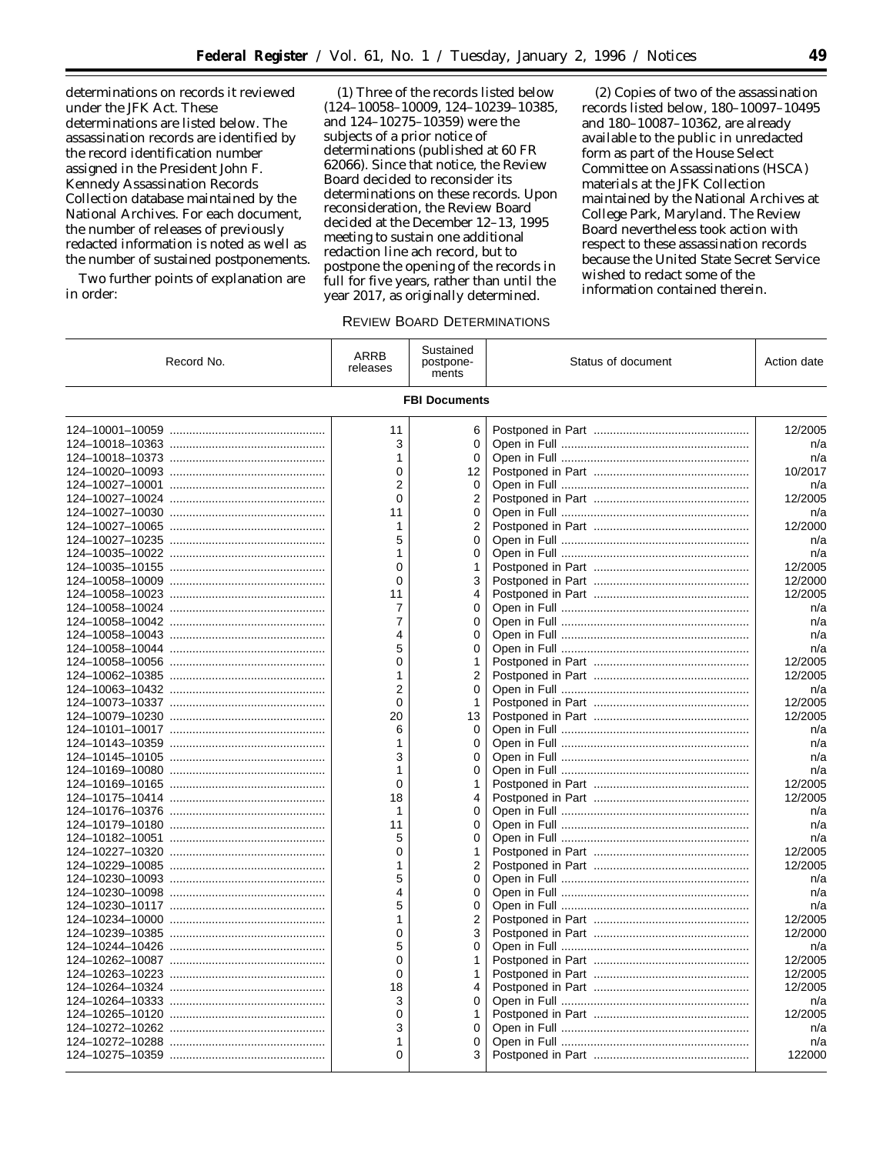determinations on records it reviewed under the JFK Act. These determinations are listed below. The assassination records are identified by the record identification number assigned in the President John F. Kennedy Assassination Records Collection database maintained by the National Archives. For each document, the number of releases of previously redacted information is noted as well as the number of sustained postponements.

Two further points of explanation are in order:

(1) Three of the records listed below (124–10058–10009, 124–10239–10385, and 124–10275–10359) were the subjects of a prior notice of determinations (published at 60 FR 62066). Since that notice, the Review Board decided to reconsider its determinations on these records. Upon reconsideration, the Review Board decided at the December 12–13, 1995 meeting to sustain one additional redaction line ach record, but to postpone the opening of the records in full for five years, rather than until the year 2017, as originally determined.

(2) Copies of two of the assassination records listed below, 180–10097–10495 and 180–10087–10362, are already available to the public in unredacted form as part of the House Select Committee on Assassinations (HSCA) materials at the JFK Collection maintained by the National Archives at College Park, Maryland. The Review Board nevertheless took action with respect to these assassination records because the United State Secret Service wished to redact some of the information contained therein.

### REVIEW BOARD DETERMINATIONS

| Record No.           | <b>ARRB</b><br>releases | Sustained<br>postpone-<br>ments | Status of document | Action date |  |
|----------------------|-------------------------|---------------------------------|--------------------|-------------|--|
| <b>FBI Documents</b> |                         |                                 |                    |             |  |
|                      | 11                      | 6                               |                    | 12/2005     |  |
|                      | 3                       | 0                               |                    | n/a         |  |
|                      | 1                       | 0                               |                    | n/a         |  |
|                      | $\mathbf 0$             | 12                              |                    | 10/2017     |  |
|                      | 2                       | 0                               |                    | n/a         |  |
|                      | $\Omega$                | 2                               |                    | 12/2005     |  |
|                      | 11                      | 0                               |                    | n/a         |  |
|                      | 1                       | 2                               |                    | 12/2000     |  |
|                      | 5                       | 0                               |                    | n/a         |  |
|                      | 1                       | 0                               |                    | n/a         |  |
|                      | $\Omega$                | 1                               |                    | 12/2005     |  |
|                      | $\Omega$                | 3                               |                    | 12/2000     |  |
|                      | 11                      | 4                               |                    | 12/2005     |  |
|                      | 7                       | 0                               |                    | n/a         |  |
|                      | 7                       | 0                               |                    | n/a         |  |
|                      | 4                       | 0                               |                    | n/a         |  |
|                      | 5                       | 0                               |                    | n/a         |  |
|                      | $\mathbf{0}$            | 1                               |                    | 12/2005     |  |
|                      | 1                       | 2                               |                    | 12/2005     |  |
|                      | $\overline{2}$          | $\Omega$                        |                    | n/a         |  |
|                      | $\mathbf 0$             | 1                               |                    | 12/2005     |  |
|                      | 20                      | 13                              |                    | 12/2005     |  |
|                      | 6                       | 0                               |                    | n/a         |  |
|                      | 1                       | 0                               |                    | n/a         |  |
|                      | 3                       | 0                               |                    | n/a         |  |
|                      | 1                       | 0                               |                    | n/a         |  |
|                      | $\Omega$                | 1                               |                    | 12/2005     |  |
|                      | 18                      | 4                               |                    | 12/2005     |  |
|                      | 1                       | 0                               |                    | n/a         |  |
|                      | 11                      | 0                               |                    | n/a         |  |
|                      | 5                       | 0                               |                    | n/a         |  |
|                      | 0                       | 1                               |                    | 12/2005     |  |
|                      | 1                       | 2                               |                    | 12/2005     |  |
|                      | 5                       | 0                               |                    | n/a         |  |
|                      | 4                       | 0                               |                    | n/a         |  |
|                      | 5                       | 0                               |                    | n/a         |  |
|                      | 1                       | 2                               |                    | 12/2005     |  |
|                      | 0                       | 3                               |                    | 12/2000     |  |
|                      | 5                       | 0                               |                    | n/a         |  |
|                      | $\Omega$                | 1                               |                    | 12/2005     |  |
|                      | $\mathbf 0$             | 1                               |                    | 12/2005     |  |
|                      | 18                      | 4                               |                    | 12/2005     |  |
|                      | 3                       | 0                               |                    | n/a         |  |
|                      | $\Omega$                | 1                               |                    | 12/2005     |  |
|                      | 3                       | 0                               |                    | n/a         |  |
|                      | 1                       | 0                               |                    | n/a         |  |
|                      | 0                       | 3                               |                    | 122000      |  |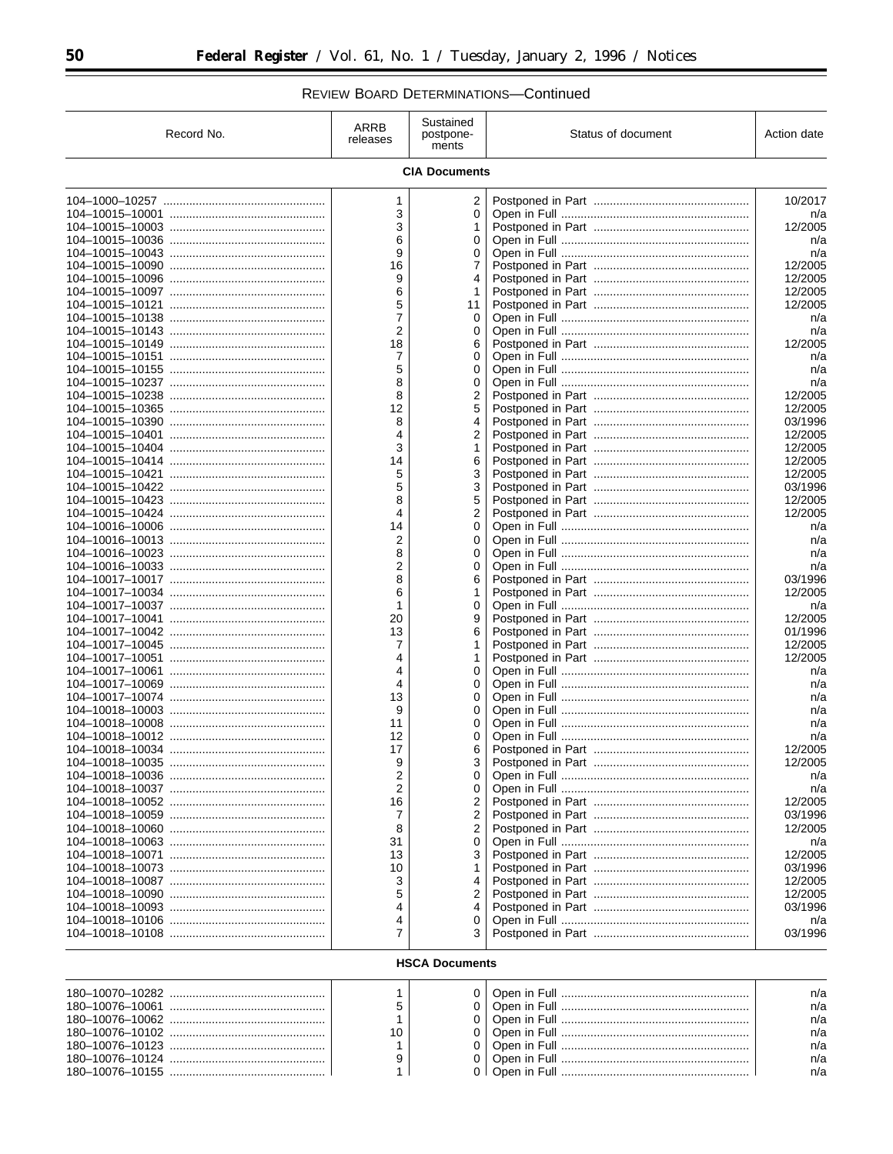REVIEW BOARD DETERMINATIONS-Continued

| Record No.            | ARRB<br>releases | Sustained<br>postpone-<br>ments | Status of document | Action date        |  |
|-----------------------|------------------|---------------------------------|--------------------|--------------------|--|
| <b>CIA Documents</b>  |                  |                                 |                    |                    |  |
|                       | 1                | 2                               |                    | 10/2017            |  |
|                       | 3                | 0                               |                    | n/a                |  |
|                       | 3                | 1                               |                    | 12/2005            |  |
|                       | 6<br>9           | 0                               |                    | n/a                |  |
|                       | 16               | 0<br>7                          |                    | n/a<br>12/2005     |  |
|                       | 9                | 4                               |                    | 12/2005            |  |
|                       | 6                | 1                               |                    | 12/2005            |  |
|                       | 5                | 11                              |                    | 12/2005            |  |
|                       | 7                | 0                               |                    | n/a                |  |
|                       | 2                | 0                               |                    | n/a                |  |
|                       | 18               | 6                               |                    | 12/2005            |  |
|                       | 7                | 0                               |                    | n/a                |  |
|                       | 5<br>8           | 0<br>0                          |                    | n/a<br>n/a         |  |
|                       | 8                | 2                               |                    | 12/2005            |  |
|                       | 12               | 5                               |                    | 12/2005            |  |
|                       | 8                | 4                               |                    | 03/1996            |  |
|                       | 4                | 2                               |                    | 12/2005            |  |
|                       | 3                | 1                               |                    | 12/2005            |  |
|                       | 14               | 6                               |                    | 12/2005            |  |
|                       | 5                | 3                               |                    | 12/2005            |  |
|                       | 5                | 3                               |                    | 03/1996            |  |
|                       | 8                | 5                               |                    | 12/2005            |  |
|                       | 4<br>14          | 2<br>0                          |                    | 12/2005            |  |
|                       | 2                | 0                               |                    | n/a<br>n/a         |  |
|                       | 8                | 0                               |                    | n/a                |  |
|                       | 2                | 0                               |                    | n/a                |  |
|                       | 8                | 6                               |                    | 03/1996            |  |
|                       | 6                | 1                               |                    | 12/2005            |  |
|                       | 1                | 0                               |                    | n/a                |  |
|                       | 20               | 9                               |                    | 12/2005            |  |
|                       | 13               | 6                               |                    | 01/1996            |  |
|                       | 7                | 1                               |                    | 12/2005            |  |
|                       | 4                | 1                               |                    | 12/2005            |  |
|                       | 4<br>4           | 0<br>0                          |                    | n/a<br>n/a         |  |
|                       | 13               | 0                               |                    | n/a                |  |
|                       | 9                | 0                               |                    | n/a                |  |
|                       | 11               | 0                               |                    | n/a                |  |
|                       | 12               | 0                               |                    | n/a                |  |
|                       | 17               | 6                               |                    | 12/2005            |  |
|                       | 9                | 3                               |                    | 12/2005            |  |
|                       | 2                | 0                               |                    | n/a                |  |
|                       | 2                | 0                               |                    | n/a                |  |
|                       | 16               | 2                               |                    | 12/2005            |  |
|                       | 7                | 2                               |                    | 03/1996<br>12/2005 |  |
|                       | 8<br>31          | 2<br>0                          |                    | n/a                |  |
|                       | 13               | 3                               |                    | 12/2005            |  |
|                       | 10               |                                 |                    | 03/1996            |  |
|                       | 3                | 4                               |                    | 12/2005            |  |
|                       | 5                | 2                               |                    | 12/2005            |  |
|                       | 4                | 4                               |                    | 03/1996            |  |
|                       | 4                | 0                               |                    | n/a                |  |
|                       | 7                | 3                               |                    | 03/1996            |  |
| <b>HSCA Documents</b> |                  |                                 |                    |                    |  |
|                       | 1                | 0                               |                    | n/a                |  |
|                       | 5                | 0                               |                    | n/a                |  |
|                       | 1                | 0                               |                    | n/a                |  |
|                       | 10               | 0                               |                    | n/a                |  |
|                       | 1                | 0                               |                    | n/a                |  |
|                       | 9                | 0                               |                    | n/a                |  |
|                       | 1                | 0 <sup>1</sup>                  |                    | n/a                |  |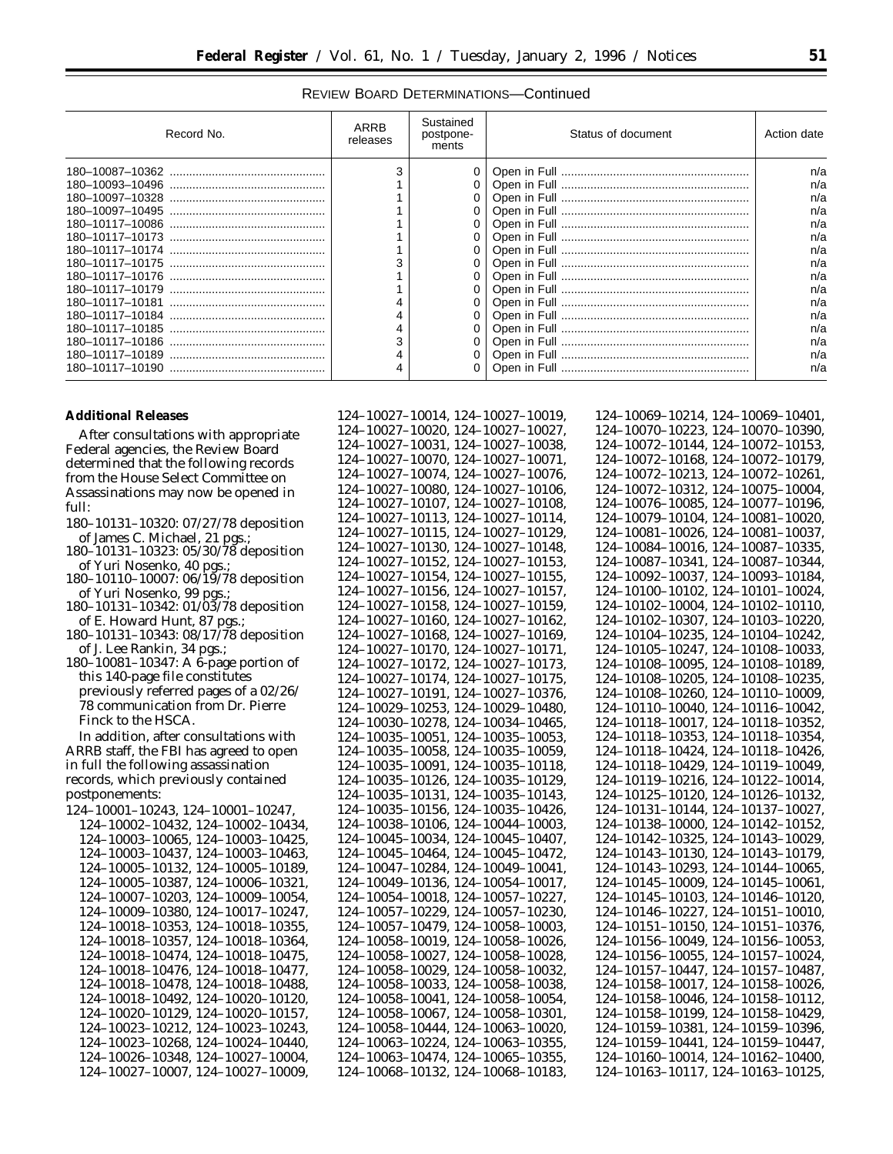## REVIEW BOARD DETERMINATIONS—Continued

| Record No. | ARRB<br>releases | Sustained<br>postpone-<br>ments | Status of document | Action date |
|------------|------------------|---------------------------------|--------------------|-------------|
|            |                  | 0                               |                    | n/a         |
|            |                  |                                 |                    | n/a         |
|            |                  |                                 |                    | n/a         |
|            |                  |                                 |                    | n/a         |
|            |                  |                                 |                    | n/a         |
|            |                  |                                 |                    | n/a         |
|            |                  |                                 |                    | n/a         |
|            |                  |                                 |                    | n/a         |
|            |                  | 0                               |                    | n/a         |
|            |                  | 0                               |                    | n/a         |
|            |                  |                                 |                    | n/a         |
|            |                  |                                 |                    | n/a         |
|            |                  |                                 |                    | n/a         |
|            |                  |                                 |                    | n/a         |
|            |                  | 0                               |                    | n/a         |
|            |                  | 0                               |                    | n/a         |

## **Additional Releases**

After consultations with appropriate Federal agencies, the Review Board determined that the following records from the House Select Committee on Assassinations may now be opened in full:

- 180–10131–10320: 07/27/78 deposition of James C. Michael, 21 pgs.;
- 180–10131–10323: 05/30/78 deposition of Yuri Nosenko, 40 pgs.;
- 180–10110–10007: 06/19/78 deposition of Yuri Nosenko, 99 pgs.;
- 180–10131–10342: 01/03/78 deposition of E. Howard Hunt, 87 pgs.
- 180–10131–10343: 08/17/78 deposition of J. Lee Rankin, 34 pgs.;
- 180–10081–10347: A 6-page portion of this 140-page file constitutes previously referred pages of a 02/26/ 78 communication from Dr. Pierre Finck to the HSCA.

In addition, after consultations with ARRB staff, the FBI has agreed to open in full the following assassination records, which previously contained postponements:

124–10001–10243, 124–10001–10247, 124–10002–10432, 124–10002–10434, 124–10003–10065, 124–10003–10425, 124–10003–10437, 124–10003–10463, 124–10005–10132, 124–10005–10189, 124–10005–10387, 124–10006–10321, 124–10007–10203, 124–10009–10054, 124–10009–10380, 124–10017–10247, 124–10018–10353, 124–10018–10355, 124–10018–10357, 124–10018–10364, 124–10018–10474, 124–10018–10475, 124–10018–10476, 124–10018–10477, 124–10018–10478, 124–10018–10488, 124–10018–10492, 124–10020–10120, 124–10020–10129, 124–10020–10157, 124–10023–10212, 124–10023–10243, 124–10023–10268, 124–10024–10440, 124–10026–10348, 124–10027–10004, 124–10027–10007, 124–10027–10009,

| 124-10027-10014, 124-10027-10019, | 124-10069-10214, 124-10069-10401, |
|-----------------------------------|-----------------------------------|
| 124-10027-10020, 124-10027-10027, | 124-10070-10223, 124-10070-10390, |
| 124-10027-10031, 124-10027-10038, | 124-10072-10144, 124-10072-10153, |
| 124-10027-10070, 124-10027-10071, | 124-10072-10168, 124-10072-10179, |
| 124-10027-10074, 124-10027-10076, | 124-10072-10213, 124-10072-10261, |
| 124-10027-10080, 124-10027-10106, | 124-10072-10312, 124-10075-10004, |
| 124-10027-10107, 124-10027-10108, | 124-10076-10085, 124-10077-10196, |
| 124-10027-10113, 124-10027-10114, | 124-10079-10104, 124-10081-10020, |
| 124-10027-10115, 124-10027-10129, | 124-10081-10026, 124-10081-10037, |
| 124-10027-10130, 124-10027-10148, | 124-10084-10016, 124-10087-10335, |
| 124-10027-10152, 124-10027-10153, | 124-10087-10341, 124-10087-10344, |
| 124-10027-10154, 124-10027-10155, | 124-10092-10037, 124-10093-10184, |
| 124-10027-10156, 124-10027-10157, | 124-10100-10102, 124-10101-10024, |
| 124-10027-10158, 124-10027-10159, | 124-10102-10004, 124-10102-10110, |
| 124-10027-10160, 124-10027-10162, | 124-10102-10307, 124-10103-10220, |
| 124-10027-10168, 124-10027-10169, | 124-10104-10235, 124-10104-10242, |
| 124-10027-10170, 124-10027-10171, | 124-10105-10247, 124-10108-10033, |
| 124-10027-10172, 124-10027-10173, | 124-10108-10095, 124-10108-10189, |
| 124-10027-10174, 124-10027-10175, | 124-10108-10205, 124-10108-10235, |
| 124-10027-10191, 124-10027-10376, | 124-10108-10260, 124-10110-10009, |
| 124-10029-10253, 124-10029-10480, | 124-10110-10040, 124-10116-10042, |
| 124-10030-10278, 124-10034-10465, | 124-10118-10017, 124-10118-10352, |
| 124-10035-10051, 124-10035-10053, | 124-10118-10353, 124-10118-10354, |
| 124-10035-10058, 124-10035-10059, | 124-10118-10424, 124-10118-10426, |
| 124-10035-10091, 124-10035-10118, | 124-10118-10429, 124-10119-10049, |
| 124-10035-10126, 124-10035-10129, | 124-10119-10216, 124-10122-10014, |
| 124-10035-10131, 124-10035-10143, | 124-10125-10120, 124-10126-10132, |
| 124-10035-10156, 124-10035-10426, | 124-10131-10144, 124-10137-10027, |
| 124-10038-10106, 124-10044-10003, | 124-10138-10000, 124-10142-10152, |
| 124-10045-10034, 124-10045-10407, | 124-10142-10325, 124-10143-10029, |
| 124-10045-10464, 124-10045-10472, | 124-10143-10130, 124-10143-10179, |
| 124-10047-10284, 124-10049-10041, | 124-10143-10293, 124-10144-10065, |
| 124-10049-10136, 124-10054-10017, | 124-10145-10009, 124-10145-10061, |
| 124-10054-10018, 124-10057-10227, | 124-10145-10103, 124-10146-10120, |
| 124-10057-10229, 124-10057-10230, | 124-10146-10227, 124-10151-10010, |
| 124-10057-10479, 124-10058-10003, | 124-10151-10150, 124-10151-10376, |
| 124-10058-10019, 124-10058-10026, | 124-10156-10049, 124-10156-10053, |
| 124-10058-10027, 124-10058-10028, | 124-10156-10055, 124-10157-10024, |
| 124-10058-10029, 124-10058-10032, | 124-10157-10447, 124-10157-10487, |
| 124-10058-10033, 124-10058-10038, | 124-10158-10017, 124-10158-10026, |
| 124-10058-10041, 124-10058-10054, | 124-10158-10046, 124-10158-10112, |
| 124-10058-10067, 124-10058-10301, | 124-10158-10199, 124-10158-10429, |
| 124-10058-10444, 124-10063-10020, | 124-10159-10381, 124-10159-10396, |
| 124-10063-10224, 124-10063-10355, | 124-10159-10441, 124-10159-10447, |
| 124-10063-10474, 124-10065-10355, | 124-10160-10014, 124-10162-10400, |
| 124-10068-10132, 124-10068-10183  | 124-10163-10117, 124-10163-10125, |